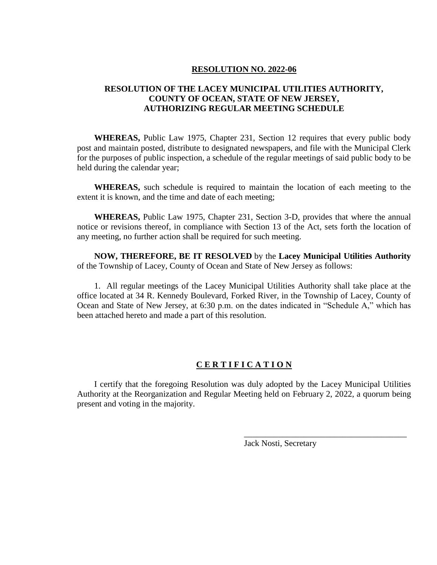#### **RESOLUTION NO. 2022-06**

# **RESOLUTION OF THE LACEY MUNICIPAL UTILITIES AUTHORITY, COUNTY OF OCEAN, STATE OF NEW JERSEY, AUTHORIZING REGULAR MEETING SCHEDULE**

**WHEREAS,** Public Law 1975, Chapter 231, Section 12 requires that every public body post and maintain posted, distribute to designated newspapers, and file with the Municipal Clerk for the purposes of public inspection, a schedule of the regular meetings of said public body to be held during the calendar year;

**WHEREAS,** such schedule is required to maintain the location of each meeting to the extent it is known, and the time and date of each meeting;

**WHEREAS,** Public Law 1975, Chapter 231, Section 3-D, provides that where the annual notice or revisions thereof, in compliance with Section 13 of the Act, sets forth the location of any meeting, no further action shall be required for such meeting.

**NOW, THEREFORE, BE IT RESOLVED** by the **Lacey Municipal Utilities Authority** of the Township of Lacey, County of Ocean and State of New Jersey as follows:

1. All regular meetings of the Lacey Municipal Utilities Authority shall take place at the office located at 34 R. Kennedy Boulevard, Forked River, in the Township of Lacey, County of Ocean and State of New Jersey, at 6:30 p.m. on the dates indicated in "Schedule A," which has been attached hereto and made a part of this resolution.

### **C E R T I F I C A T I O N**

I certify that the foregoing Resolution was duly adopted by the Lacey Municipal Utilities Authority at the Reorganization and Regular Meeting held on February 2, 2022, a quorum being present and voting in the majority.

Jack Nosti, Secretary

\_\_\_\_\_\_\_\_\_\_\_\_\_\_\_\_\_\_\_\_\_\_\_\_\_\_\_\_\_\_\_\_\_\_\_\_\_\_